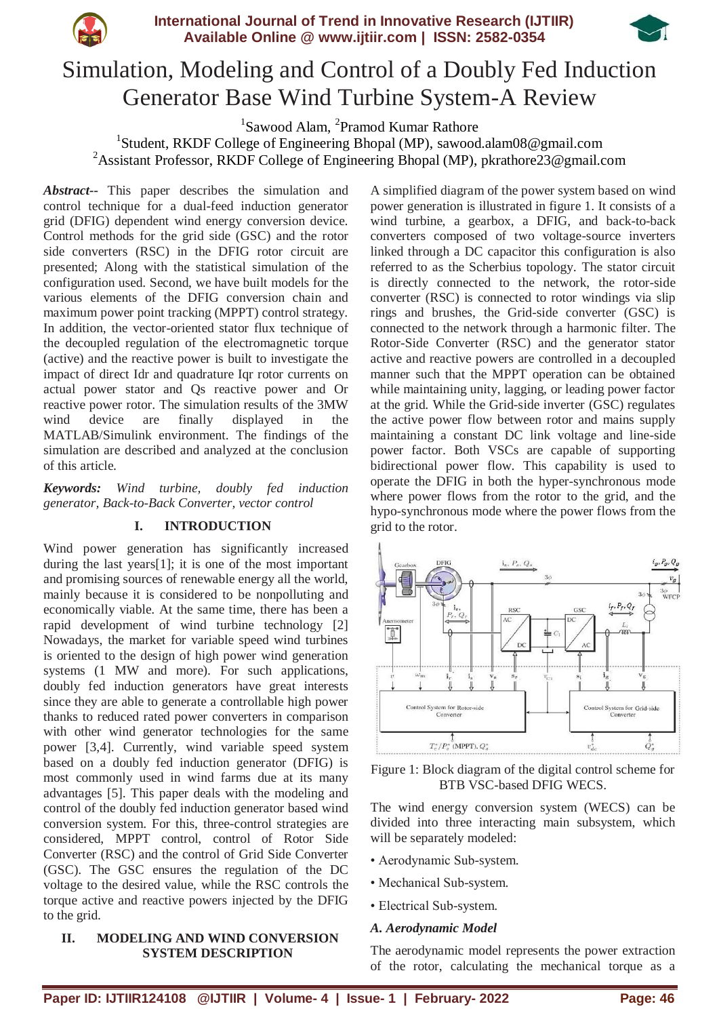

# Simulation, Modeling and Control of a Doubly Fed Induction Generator Base Wind Turbine System-A Review

<sup>1</sup>Sawood Alam, <sup>2</sup>Pramod Kumar Rathore

## <sup>1</sup>Student, RKDF College of Engineering Bhopal (MP), sawood.alam08@gmail.com <sup>2</sup>Assistant Professor, RKDF College of Engineering Bhopal (MP), pkrathore23@gmail.com

*Abstract--* This paper describes the simulation and control technique for a dual-feed induction generator grid (DFIG) dependent wind energy conversion device. Control methods for the grid side (GSC) and the rotor side converters (RSC) in the DFIG rotor circuit are presented; Along with the statistical simulation of the configuration used. Second, we have built models for the various elements of the DFIG conversion chain and maximum power point tracking (MPPT) control strategy. In addition, the vector-oriented stator flux technique of the decoupled regulation of the electromagnetic torque (active) and the reactive power is built to investigate the impact of direct Idr and quadrature Iqr rotor currents on actual power stator and Qs reactive power and Or reactive power rotor. The simulation results of the 3MW wind device are finally displayed in the MATLAB/Simulink environment. The findings of the simulation are described and analyzed at the conclusion of this article.

*Keywords: Wind turbine, doubly fed induction generator, Back-to-Back Converter, vector control*

#### **I. INTRODUCTION**

Wind power generation has significantly increased during the last years[1]; it is one of the most important and promising sources of renewable energy all the world, mainly because it is considered to be nonpolluting and economically viable. At the same time, there has been a rapid development of wind turbine technology [2] Nowadays, the market for variable speed wind turbines is oriented to the design of high power wind generation systems (1 MW and more). For such applications, doubly fed induction generators have great interests since they are able to generate a controllable high power thanks to reduced rated power converters in comparison with other wind generator technologies for the same power [3,4]. Currently, wind variable speed system based on a doubly fed induction generator (DFIG) is most commonly used in wind farms due at its many advantages [5]. This paper deals with the modeling and control of the doubly fed induction generator based wind conversion system. For this, three-control strategies are considered, MPPT control, control of Rotor Side Converter (RSC) and the control of Grid Side Converter (GSC). The GSC ensures the regulation of the DC voltage to the desired value, while the RSC controls the torque active and reactive powers injected by the DFIG to the grid.

#### **II. MODELING AND WIND CONVERSION SYSTEM DESCRIPTION**

A simplified diagram of the power system based on wind power generation is illustrated in figure 1. It consists of a wind turbine, a gearbox, a DFIG, and back-to-back converters composed of two voltage-source inverters linked through a DC capacitor this configuration is also referred to as the Scherbius topology. The stator circuit is directly connected to the network, the rotor-side converter (RSC) is connected to rotor windings via slip rings and brushes, the Grid-side converter (GSC) is connected to the network through a harmonic filter. The Rotor-Side Converter (RSC) and the generator stator active and reactive powers are controlled in a decoupled manner such that the MPPT operation can be obtained while maintaining unity, lagging, or leading power factor at the grid. While the Grid-side inverter (GSC) regulates the active power flow between rotor and mains supply maintaining a constant DC link voltage and line-side power factor. Both VSCs are capable of supporting bidirectional power flow. This capability is used to operate the DFIG in both the hyper-synchronous mode where power flows from the rotor to the grid, and the hypo-synchronous mode where the power flows from the grid to the rotor.



Figure 1: Block diagram of the digital control scheme for BTB VSC-based DFIG WECS.

The wind energy conversion system (WECS) can be divided into three interacting main subsystem, which will be separately modeled:

- Aerodynamic Sub-system.
- Mechanical Sub-system.
- Electrical Sub-system.

#### *A. Aerodynamic Model*

The aerodynamic model represents the power extraction of the rotor, calculating the mechanical torque as a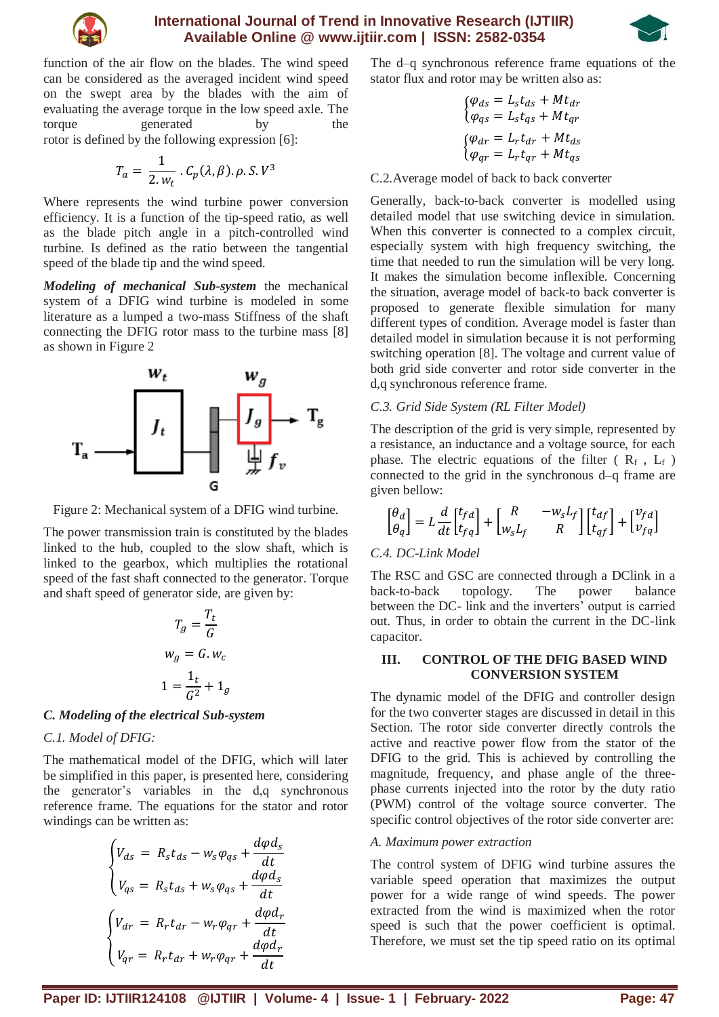

#### **International Journal of Trend in Innovative Research (IJTIIR) Available Online @ www.ijtiir.com | ISSN: 2582-0354**



function of the air flow on the blades. The wind speed can be considered as the averaged incident wind speed on the swept area by the blades with the aim of evaluating the average torque in the low speed axle. The torque generated by the rotor is defined by the following expression [6]:

$$
T_a = \frac{1}{2. w_t} \cdot C_p(\lambda, \beta) \cdot \rho \cdot S \cdot V^3
$$

Where represents the wind turbine power conversion efficiency. It is a function of the tip-speed ratio, as well as the blade pitch angle in a pitch-controlled wind turbine. Is defined as the ratio between the tangential speed of the blade tip and the wind speed.

*Modeling of mechanical Sub-system* the mechanical system of a DFIG wind turbine is modeled in some literature as a lumped a two-mass Stiffness of the shaft connecting the DFIG rotor mass to the turbine mass [8] as shown in Figure 2



Figure 2: Mechanical system of a DFIG wind turbine.

The power transmission train is constituted by the blades linked to the hub, coupled to the slow shaft, which is linked to the gearbox, which multiplies the rotational speed of the fast shaft connected to the generator. Torque and shaft speed of generator side, are given by:

$$
T_g = \frac{T_t}{G}
$$

$$
w_g = G \cdot w_c
$$

$$
1 = \frac{1_t}{G^2} + 1_g
$$

#### *C. Modeling of the electrical Sub-system*

#### *C.1. Model of DFIG:*

The mathematical model of the DFIG, which will later be simplified in this paper, is presented here, considering the generator's variables in the d,q synchronous reference frame. The equations for the stator and rotor windings can be written as:

$$
\begin{cases}\nV_{ds} = R_s t_{ds} - w_s \varphi_{qs} + \frac{d\varphi d_s}{dt} \\
V_{qs} = R_s t_{ds} + w_s \varphi_{qs} + \frac{d\varphi d_s}{dt} \\
V_{dr} = R_r t_{dr} - w_r \varphi_{qr} + \frac{d\varphi d_r}{dt} \\
V_{qr} = R_r t_{dr} + w_r \varphi_{qr} + \frac{d\varphi d_r}{dt}\n\end{cases}
$$

The d–q synchronous reference frame equations of the stator flux and rotor may be written also as:

$$
\begin{cases}\n\varphi_{ds} = L_s t_{ds} + Mt_{dr} \\
\varphi_{qs} = L_s t_{qs} + Mt_{qr} \\
\varphi_{dr} = L_r t_{dr} + Mt_{ds} \\
\varphi_{qr} = L_r t_{qr} + Mt_{qs}\n\end{cases}
$$

C.2.Average model of back to back converter

Generally, back-to-back converter is modelled using detailed model that use switching device in simulation. When this converter is connected to a complex circuit, especially system with high frequency switching, the time that needed to run the simulation will be very long. It makes the simulation become inflexible. Concerning the situation, average model of back-to back converter is proposed to generate flexible simulation for many different types of condition. Average model is faster than detailed model in simulation because it is not performing switching operation [8]. The voltage and current value of both grid side converter and rotor side converter in the d,q synchronous reference frame.

#### *C.3. Grid Side System (RL Filter Model)*

The description of the grid is very simple, represented by a resistance, an inductance and a voltage source, for each phase. The electric equations of the filter  $(R_f, L_f)$ connected to the grid in the synchronous d–q frame are given bellow:

$$
\begin{bmatrix} \theta_d \\ \theta_q \end{bmatrix} = L \frac{d}{dt} \begin{bmatrix} t_{fd} \\ t_{fq} \end{bmatrix} + \begin{bmatrix} R & -w_s L_f \\ w_s L_f & R \end{bmatrix} \begin{bmatrix} t_{df} \\ t_{qf} \end{bmatrix} + \begin{bmatrix} v_{fd} \\ v_{fq} \end{bmatrix}
$$

#### *C.4. DC-Link Model*

The RSC and GSC are connected through a DClink in a back-to-back topology. The power balance between the DC- link and the inverters' output is carried out. Thus, in order to obtain the current in the DC-link capacitor.

#### **III. CONTROL OF THE DFIG BASED WIND CONVERSION SYSTEM**

The dynamic model of the DFIG and controller design for the two converter stages are discussed in detail in this Section. The rotor side converter directly controls the active and reactive power flow from the stator of the DFIG to the grid. This is achieved by controlling the magnitude, frequency, and phase angle of the threephase currents injected into the rotor by the duty ratio (PWM) control of the voltage source converter. The specific control objectives of the rotor side converter are:

#### *A. Maximum power extraction*

The control system of DFIG wind turbine assures the variable speed operation that maximizes the output power for a wide range of wind speeds. The power extracted from the wind is maximized when the rotor speed is such that the power coefficient is optimal. Therefore, we must set the tip speed ratio on its optimal